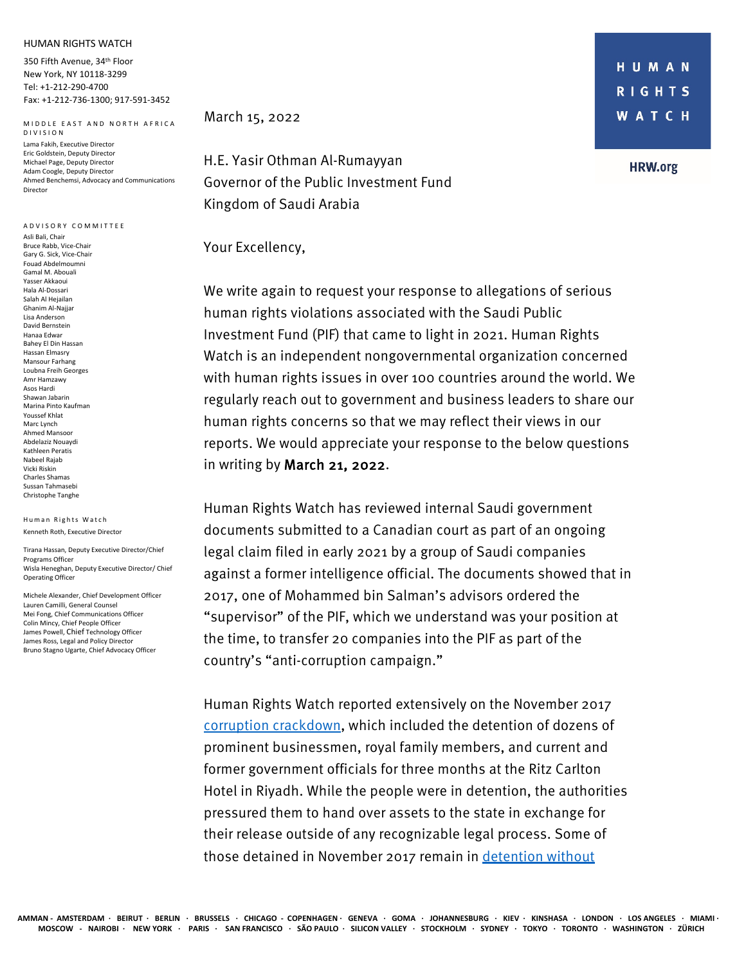## HUMAN RIGHTS WATCH

350 Fifth Avenue, 34th Floor New York, NY 10118-3299 Tel: +1-212-290-4700 Fax: +1-212-736-1300; 917-591-3452

MIDDLE EAST AND NORTH AFRICA DIVISION Lama Fakih, Executive Director Eric Goldstein, Deputy Director Michael Page, Deputy Director Adam Coogle, Deputy Director Ahmed Benchemsi, Advocacy and Communications Director

## ADVISORY COMMITTEE Asli Bali, Chair Bruce Rabb, Vice-Chair Gary G. Sick, Vice-Chair Fouad Abdelmoumni Gamal M. Abouali Yasser Akkaoui Hala Al-Dossari Salah Al Hejailan Ghanim Al-Najjar Lisa Anderson David Bernstein Hanaa Edwar Bahey El Din Hassan Hassan Elmasry Mansour Farhang Loubna Freih Georges Amr Hamzawy Asos Hardi Shawan Jabarin Marina Pinto Kaufman Youssef Khlat Marc Lynch Ahmed Mansoor Abdelaziz Nouaydi Kathleen Peratis Nabeel Rajab Vicki Riskin Charles Shamas Sussan Tahmasebi Christophe Tanghe

Human Rights Watch Kenneth Roth, Executive Director

Tirana Hassan, Deputy Executive Director/Chief Programs Officer Wisla Heneghan, Deputy Executive Director/ Chief Operating Officer

Michele Alexander, Chief Development Officer Lauren Camilli, General Counsel Mei Fong, Chief Communications Officer Colin Mincy, Chief People Officer James Powell, Chief Technology Officer James Ross, Legal and Policy Director Bruno Stagno Ugarte, Chief Advocacy Officer

March 15, 2022

H.E. Yasir Othman Al-Rumayyan Governor of the Public Investment Fund Kingdom of Saudi Arabia

## Your Excellency,

We write again to request your response to allegations of serious human rights violations associated with the Saudi Public Investment Fund (PIF) that came to light in 2021. Human Rights Watch is an independent nongovernmental organization concerned with human rights issues in over 100 countries around the world. We regularly reach out to government and business leaders to share our human rights concerns so that we may reflect their views in our reports. We would appreciate your response to the below questions in writing by March 21, 2022.

Human Rights Watch has reviewed internal Saudi government documents submitted to a Canadian court as part of an ongoing legal claim filed in early 2021 by a group of Saudi companies against a former intelligence official. The documents showed that in 2017, one of Mohammed bin Salman's advisors ordered the "supervisor" of the PIF, which we understand was your position at the time, to transfer 20 companies into the PIF as part of the country's "anti-corruption campaign."

Human Rights Watch reported extensively on the November 2017 corruption crackdown, which included the detention of dozens of prominent businessmen, royal family members, and current and former government officials for three months at the Ritz Carlton Hotel in Riyadh. While the people were in detention, the authorities pressured them to hand over assets to the state in exchange for their release outside of any recognizable legal process. Some of those detained in November 2017 remain in detention without

**HRW.org**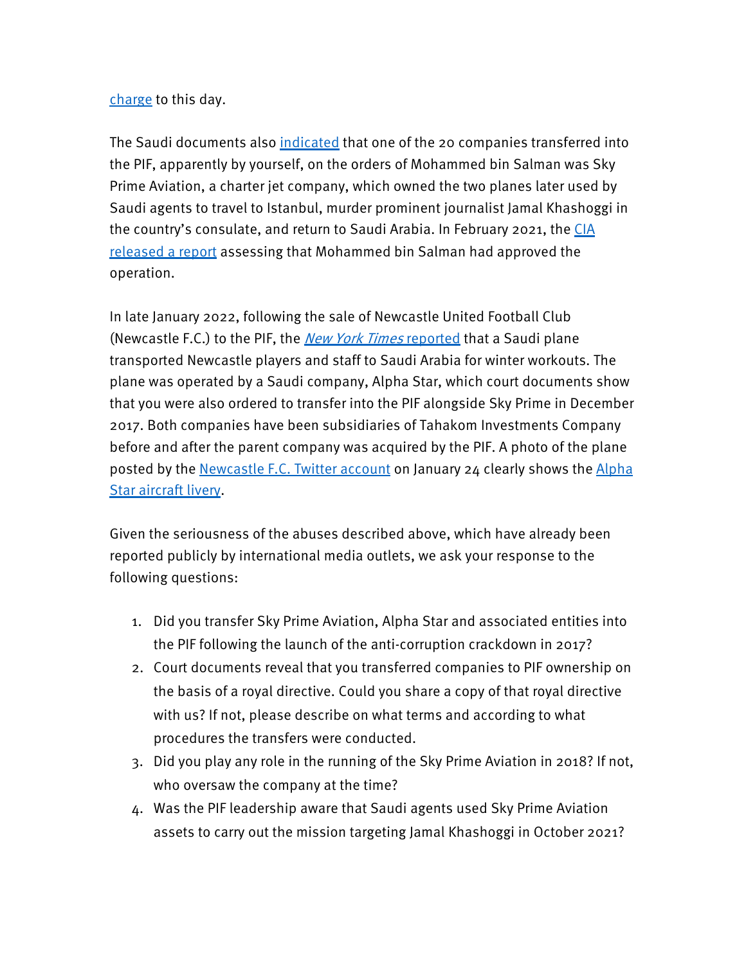## charge to this day.

The Saudi documents also indicated that one of the 20 companies transferred into the PIF, apparently by yourself, on the orders of Mohammed bin Salman was Sky Prime Aviation, a charter jet company, which owned the two planes later used by Saudi agents to travel to Istanbul, murder prominent journalist Jamal Khashoggi in the country's consulate, and return to Saudi Arabia. In February 2021, the CIA released a report assessing that Mohammed bin Salman had approved the operation.

In late January 2022, following the sale of Newcastle United Football Club (Newcastle F.C.) to the PIF, the *New York Times* reported that a Saudi plane transported Newcastle players and staff to Saudi Arabia for winter workouts. The plane was operated by a Saudi company, Alpha Star, which court documents show that you were also ordered to transfer into the PIF alongside Sky Prime in December 2017. Both companies have been subsidiaries of Tahakom Investments Company before and after the parent company was acquired by the PIF. A photo of the plane posted by the Newcastle F.C. Twitter account on January 24 clearly shows the Alpha Star aircraft livery.

Given the seriousness of the abuses described above, which have already been reported publicly by international media outlets, we ask your response to the following questions:

- 1. Did you transfer Sky Prime Aviation, Alpha Star and associated entities into the PIF following the launch of the anti-corruption crackdown in 2017?
- 2. Court documents reveal that you transferred companies to PIF ownership on the basis of a royal directive. Could you share a copy of that royal directive with us? If not, please describe on what terms and according to what procedures the transfers were conducted.
- 3. Did you play any role in the running of the Sky Prime Aviation in 2018? If not, who oversaw the company at the time?
- 4. Was the PIF leadership aware that Saudi agents used Sky Prime Aviation assets to carry out the mission targeting Jamal Khashoggi in October 2021?